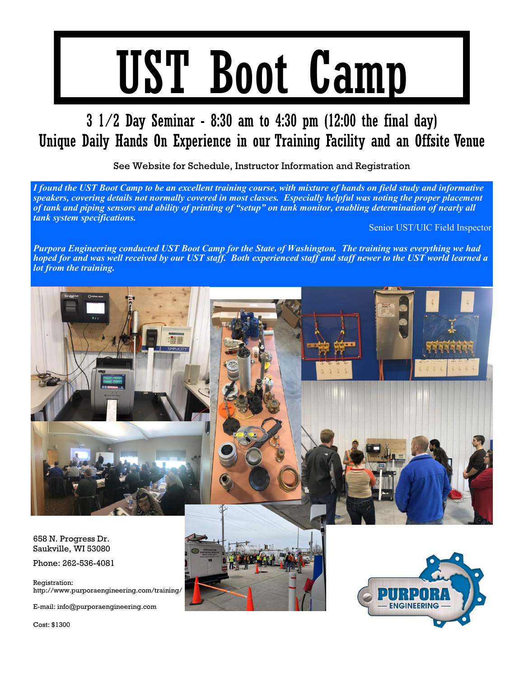# UST Boot Camp

### $3\ 1/2$  Day Seminar - 8:30 am to 4:30 pm (12:00 the final day) Unique Daily Hands On Experience in our Training Facility and an Offsite Venue

See Website for Schedule, Instructor Information and Registration

*I found the UST Boot Camp to be an excellent training course, with mixture of hands on field study and informative speakers, covering details not normally covered in most classes. Especially helpful was noting the proper placement of tank and piping sensors and ability of printing of "setup" on tank monitor, enabling determination of nearly all tank system specifications.*

Senior UST/UIC Field Inspector

*Purpora Engineering conducted UST Boot Camp for the State of Washington. The training was everything we had hoped for and was well received by our UST staff. Both experienced staff and staff newer to the UST world learned a lot from the training.*



Cost: \$1300